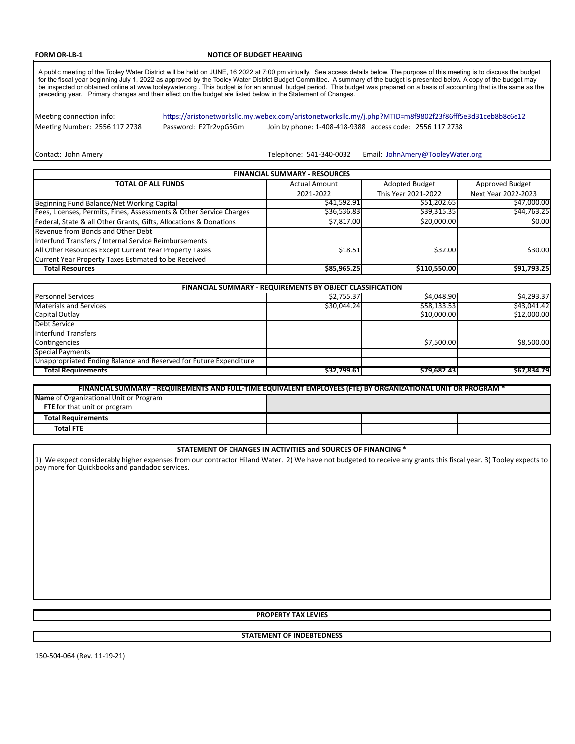#### **FORM OR-LB-1** NOTICE OF BUDGET HEARING

A public meeting of the Tooley Water District will be held on JUNE, 16 2022 at 7:00 pm virtually. See access details below. The purpose of this meeting is to discuss the budget<br>for the fiscal year beginning July 1, 2022 as

Meeting connection info:

<https://aristonetworksllc.my.webex.com/aristonetworksllc.my/j.php?MTID=m8f9802f23f86fff5e3d31ceb8b8c6e12>

Meeting Number: 2556 117 2738 Password: F2Tr2vpG5Gm Join by phone: 1-408-418-9388 access code: 2556 117 2738

Contact: John Amery **Telephone: 541-340-0032** Email: [JohnAmery@TooleyWater.org](mailto:JohnAmery@TooleyWater.org)

| <b>FINANCIAL SUMMARY - RESOURCES</b>                                |                      |                     |                     |  |  |  |  |  |
|---------------------------------------------------------------------|----------------------|---------------------|---------------------|--|--|--|--|--|
| <b>TOTAL OF ALL FUNDS</b>                                           | <b>Actual Amount</b> | Adopted Budget      | Approved Budget     |  |  |  |  |  |
|                                                                     | 2021-2022            | This Year 2021-2022 | Next Year 2022-2023 |  |  |  |  |  |
| Beginning Fund Balance/Net Working Capital                          | \$41,592.91          | \$51,202.65         | \$47,000.00         |  |  |  |  |  |
| Fees, Licenses, Permits, Fines, Assessments & Other Service Charges | \$36,536.83          | \$39,315.35         | \$44,763.25         |  |  |  |  |  |
| Federal, State & all Other Grants, Gifts, Allocations & Donations   | \$7,817.00           | \$20,000.00         | \$0.00              |  |  |  |  |  |
| Revenue from Bonds and Other Debt                                   |                      |                     |                     |  |  |  |  |  |
| Interfund Transfers / Internal Service Reimbursements               |                      |                     |                     |  |  |  |  |  |
| All Other Resources Except Current Year Property Taxes              | \$18.51              | \$32.00             | \$30.00             |  |  |  |  |  |
| Current Year Property Taxes Estimated to be Received                |                      |                     |                     |  |  |  |  |  |
| <b>Total Resources</b>                                              | \$85,965.25          | \$110,550.00        | \$91.793.25         |  |  |  |  |  |

| <b>FINANCIAL SUMMARY - REQUIREMENTS BY OBJECT CLASSIFICATION</b>  |             |             |             |  |  |  |  |  |  |
|-------------------------------------------------------------------|-------------|-------------|-------------|--|--|--|--|--|--|
| <b>Personnel Services</b>                                         | \$2.755.37  | \$4,048.90  | \$4,293.37  |  |  |  |  |  |  |
| <b>Materials and Services</b>                                     | \$30,044.24 | \$58,133.53 | \$43,041.42 |  |  |  |  |  |  |
| Capital Outlay                                                    |             | \$10,000.00 | \$12,000.00 |  |  |  |  |  |  |
| Debt Service                                                      |             |             |             |  |  |  |  |  |  |
| <b>Interfund Transfers</b>                                        |             |             |             |  |  |  |  |  |  |
| Contingencies                                                     |             | \$7.500.00  | \$8.500.00  |  |  |  |  |  |  |
| <b>Special Payments</b>                                           |             |             |             |  |  |  |  |  |  |
| Unappropriated Ending Balance and Reserved for Future Expenditure |             |             |             |  |  |  |  |  |  |
| <b>Total Requirements</b>                                         | \$32,799.61 | \$79,682.43 | \$67.834.79 |  |  |  |  |  |  |

| FINANCIAL SUMMARY - REQUIREMENTS AND FULL-TIME EQUIVALENT EMPLOYEES (FTE) BY ORGANIZATIONAL UNIT OR PROGRAM * |  |  |  |  |  |  |  |
|---------------------------------------------------------------------------------------------------------------|--|--|--|--|--|--|--|
| Name of Organizational Unit or Program                                                                        |  |  |  |  |  |  |  |
| FTE for that unit or program                                                                                  |  |  |  |  |  |  |  |
| <b>Total Requirements</b>                                                                                     |  |  |  |  |  |  |  |
| <b>Total FTE</b>                                                                                              |  |  |  |  |  |  |  |

#### **STATEMENT OF CHANGES IN ACTIVITIES and SOURCES OF FINANCING \***

1) We expect considerably higher expenses from our contractor Hiland Water. 2) We have not budgeted to receive any grants this fiscal year. 3) Tooley expects to pay more for Quickbooks and pandadoc services.

#### **PROPERTY TAX LEVIES**

### **STATEMENT OF INDEBTEDNESS**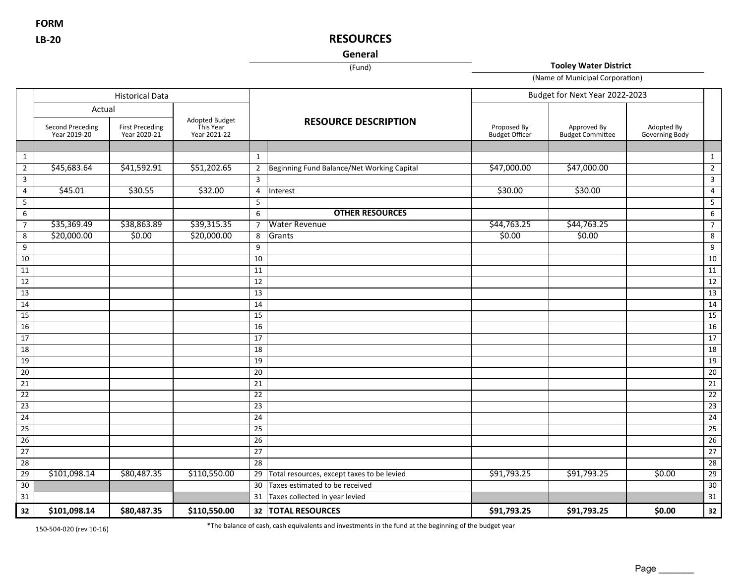**FORM**

# **LB-20 RESOURCES**

**General**

(Fund) **Tooley Water District**

(Name of Municipal Corporation)

|                 | <b>Historical Data</b><br>Actual |                                        |                                             |                 |                                            | Budget for Next Year 2022-2023       |                                        |                              |                  |
|-----------------|----------------------------------|----------------------------------------|---------------------------------------------|-----------------|--------------------------------------------|--------------------------------------|----------------------------------------|------------------------------|------------------|
|                 |                                  |                                        |                                             |                 |                                            |                                      |                                        |                              |                  |
|                 | Second Preceding<br>Year 2019-20 | <b>First Preceding</b><br>Year 2020-21 | Adopted Budget<br>This Year<br>Year 2021-22 |                 | <b>RESOURCE DESCRIPTION</b>                | Proposed By<br><b>Budget Officer</b> | Approved By<br><b>Budget Committee</b> | Adopted By<br>Governing Body |                  |
|                 |                                  |                                        |                                             |                 |                                            |                                      |                                        |                              |                  |
| $\mathbf{1}$    |                                  |                                        |                                             | 1               |                                            |                                      |                                        |                              | 1                |
| $\overline{2}$  | \$45,683.64                      | \$41,592.91                            | \$51,202.65                                 | $\overline{2}$  | Beginning Fund Balance/Net Working Capital | \$47,000.00                          | \$47,000.00                            |                              | $\overline{2}$   |
| $\mathbf{3}$    |                                  |                                        |                                             | $\overline{3}$  |                                            |                                      |                                        |                              | 3                |
| $\overline{4}$  | \$45.01                          | \$30.55                                | 532.00                                      | $\overline{4}$  | Interest                                   | \$30.00                              | \$30.00                                |                              | $\overline{4}$   |
| 5               |                                  |                                        |                                             | 5               |                                            |                                      |                                        |                              | $5\phantom{.0}$  |
| 6               |                                  |                                        |                                             | 6               | <b>OTHER RESOURCES</b>                     |                                      |                                        |                              | $\boldsymbol{6}$ |
| 7 <sup>7</sup>  | \$35,369.49                      | \$38,863.89                            | \$39,315.35                                 | $\overline{7}$  | <b>Water Revenue</b>                       | \$44,763.25                          | \$44,763.25                            |                              | $\overline{7}$   |
| 8               | \$20,000.00                      | \$0.00                                 | \$20,000.00                                 | 8               | Grants                                     | \$0.00                               | \$0.00                                 |                              | 8                |
| 9               |                                  |                                        |                                             | 9               |                                            |                                      |                                        |                              | 9                |
| 10              |                                  |                                        |                                             | $\overline{10}$ |                                            |                                      |                                        |                              | 10               |
| 11              |                                  |                                        |                                             | 11              |                                            |                                      |                                        |                              | 11               |
| 12              |                                  |                                        |                                             | $\overline{12}$ |                                            |                                      |                                        |                              | 12               |
| 13              |                                  |                                        |                                             | $\overline{13}$ |                                            |                                      |                                        |                              | 13               |
| 14              |                                  |                                        |                                             | 14              |                                            |                                      |                                        |                              | 14               |
| 15              |                                  |                                        |                                             | $\overline{15}$ |                                            |                                      |                                        |                              | 15               |
| $\overline{16}$ |                                  |                                        |                                             | 16              |                                            |                                      |                                        |                              | 16               |
| 17              |                                  |                                        |                                             | 17              |                                            |                                      |                                        |                              | 17               |
| 18              |                                  |                                        |                                             | 18              |                                            |                                      |                                        |                              | 18               |
| 19              |                                  |                                        |                                             | 19              |                                            |                                      |                                        |                              | 19               |
| $\overline{20}$ |                                  |                                        |                                             | 20              |                                            |                                      |                                        |                              | 20               |
| $\overline{21}$ |                                  |                                        |                                             | $\overline{21}$ |                                            |                                      |                                        |                              | $\overline{21}$  |
| $\overline{22}$ |                                  |                                        |                                             | 22              |                                            |                                      |                                        |                              | $\overline{22}$  |
| $\overline{23}$ |                                  |                                        |                                             | 23              |                                            |                                      |                                        |                              | $\overline{23}$  |
| 24              |                                  |                                        |                                             | 24              |                                            |                                      |                                        |                              | $\overline{24}$  |
| 25              |                                  |                                        |                                             | 25              |                                            |                                      |                                        |                              | $\overline{25}$  |
| $\overline{26}$ |                                  |                                        |                                             | $\overline{26}$ |                                            |                                      |                                        |                              | $\overline{26}$  |
| $\overline{27}$ |                                  |                                        |                                             | 27              |                                            |                                      |                                        |                              | $\overline{27}$  |
| $\overline{28}$ |                                  |                                        |                                             | 28              |                                            |                                      |                                        |                              | 28               |
| $\overline{29}$ | \$101,098.14                     | \$80,487.35                            | \$110,550.00                                | 29              | Total resources, except taxes to be levied | \$91,793.25                          | \$91,793.25                            | \$0.00                       | 29               |
| 30              |                                  |                                        |                                             | 30              | Taxes estimated to be received             |                                      |                                        |                              | 30               |
| $\overline{31}$ |                                  |                                        |                                             | 31              | Taxes collected in year levied             |                                      |                                        |                              | $\overline{31}$  |
| 32              | \$101,098.14                     | \$80,487.35                            | \$110,550.00                                | 32              | <b>TOTAL RESOURCES</b>                     | \$91,793.25                          | \$91,793.25                            | \$0.00                       | 32               |

150-504-020 (rev 10-16) \*The balance of cash, cash equivalents and investments in the fund at the beginning of the budget year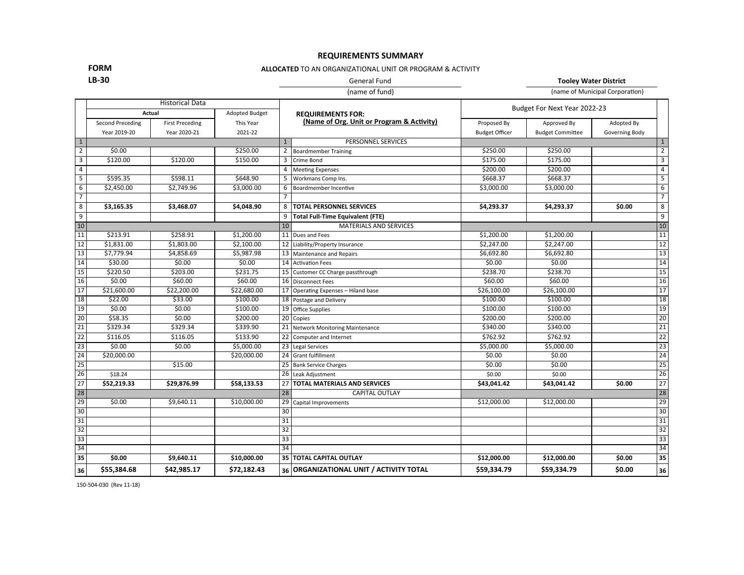## **REQUIREMENTS SUMMARY**

## **FORM**

## **ALLOCATED** TO AN ORGANIZATIONAL UNIT OR PROGRAM & ACTIVITY

# **LB-30** General Fund **Tooley Water District**

(name of fund) (name of Municipal Corporation)

|                         | <b>Historical Data</b><br>Actual<br><b>Adopted Budget</b> |                        |                          |                 |                                           |                       |                         |                |                 |
|-------------------------|-----------------------------------------------------------|------------------------|--------------------------|-----------------|-------------------------------------------|-----------------------|-------------------------|----------------|-----------------|
|                         |                                                           |                        | <b>REQUIREMENTS FOR:</b> |                 | Budget For Next Year 2022-23              |                       |                         |                |                 |
|                         | Second Preceding                                          | <b>First Preceding</b> | This Year                |                 | (Name of Org. Unit or Program & Activity) | Proposed By           | Approved By             | Adopted By     |                 |
|                         | Year 2019-20                                              | Year 2020-21           | 2021-22                  |                 |                                           | <b>Budget Officer</b> | <b>Budget Committee</b> | Governing Body |                 |
| $\mathbf{1}$            |                                                           |                        |                          | $\mathbf{1}$    | PERSONNEL SERVICES                        |                       |                         |                |                 |
| $\overline{2}$          | \$0.00                                                    |                        | \$250.00                 | 2               | <b>Boardmember Training</b>               | \$250.00              | \$250.00                |                | $\overline{2}$  |
| $\overline{\mathbf{3}}$ | \$120.00                                                  | \$120.00               | \$150.00                 | 3               | Crime Bond                                | \$175.00              | \$175.00                |                | $\overline{3}$  |
| $\overline{4}$          |                                                           |                        |                          | 4               | Meeting Expenses                          | \$200.00              | \$200.00                |                | 4               |
| $\overline{5}$          | \$595.35                                                  | \$598.11               | \$648.90                 | 5               | Workmans Comp Ins.                        | \$668.37              | \$668.37                |                | 5               |
| 6                       | \$2,450.00                                                | \$2,749.96             | \$3,000.00               | 6               | Boardmember Incentive                     | \$3,000.00            | \$3,000.00              |                | 6               |
|                         |                                                           |                        |                          | $\overline{7}$  |                                           |                       |                         |                | $\overline{7}$  |
| 8                       | \$3,165.35                                                | \$3,468.07             | \$4,048.90               | 8               | <b>TOTAL PERSONNEL SERVICES</b>           | \$4,293.37            | \$4,293.37              | \$0.00         | 8               |
| 9                       |                                                           |                        |                          | 9               | <b>Total Full-Time Equivalent (FTE)</b>   |                       |                         |                | 9               |
| 10                      |                                                           |                        |                          | 10              | <b>MATERIALS AND SERVICES</b>             |                       |                         |                | 10              |
| 11                      | \$213.91                                                  | \$258.91               | \$1,200.00               |                 | 11 Dues and Fees                          | \$1,200.00            | \$1,200.00              |                | 11              |
| $\overline{12}$         | \$1,831.00                                                | \$1,803.00             | \$2,100.00               |                 | 12 Liability/Property Insurance           | \$2,247.00            | \$2,247.00              |                | $\overline{12}$ |
| $\overline{13}$         | \$7,779.94                                                | \$4,858.69             | \$5,987.98               |                 | 13 Maintenance and Repairs                | \$6,692.80            | \$6,692.80              |                | $\overline{13}$ |
| $\overline{14}$         | \$30.00                                                   | \$0.00                 | \$0.00                   |                 | 14 Activation Fees                        | \$0.00                | \$0.00                  |                | $\overline{14}$ |
| $\overline{15}$         | \$220.50                                                  | \$203.00               | 5231.75                  |                 | 15 Customer CC Charge passthrough         | \$238.70              | \$238.70                |                | $\overline{15}$ |
| $\overline{16}$         | \$0.00                                                    | \$60.00                | \$60.00                  |                 | 16 Disconnect Fees                        | \$60.00               | \$60.00                 |                | $\overline{16}$ |
| $\overline{17}$         | \$21,600.00                                               | \$22,200.00            | \$22,680.00              | 17              | Operating Expenses - Hiland base          | \$26,100.00           | \$26,100.00             |                | $\overline{17}$ |
| $\overline{18}$         | \$22.00                                                   | \$33.00                | \$100.00                 |                 | 18 Postage and Delivery                   | \$100.00              | \$100.00                |                | $\overline{18}$ |
| 19                      | \$0.00                                                    | \$0.00                 | \$100.00                 |                 | 19 Office Supplies                        | \$100.00              | \$100.00                |                | 19              |
| 20                      | \$58.35                                                   | \$0.00                 | \$200.00                 | 20              | Copies                                    | \$200.00              | \$200.00                |                | $\overline{20}$ |
| $\overline{21}$         | \$329.34                                                  | \$329.34               | \$339.90                 |                 | 21 Network Monitoring Maintenance         | \$340.00              | \$340.00                |                | $\overline{21}$ |
| $\overline{22}$         | \$116.05                                                  | \$116.05               | \$133.90                 | 22              | Computer and Internet                     | \$762.92              | \$762.92                |                | $\overline{22}$ |
| $\overline{23}$         | \$0.00                                                    | \$0.00                 | \$5,000.00               | 23              | Legal Services                            | \$5,000.00            | \$5,000.00              |                | $\overline{23}$ |
| $\overline{24}$         | \$20,000.00                                               |                        | \$20,000.00              | 24              | Grant fulfillment                         | \$0.00                | \$0.00                  |                | $\overline{24}$ |
| $\overline{25}$         |                                                           | \$15.00                |                          |                 | 25 Bank Service Charges                   | \$0.00                | \$0.00                  |                | $\overline{25}$ |
| $\overline{26}$         | \$18.24                                                   |                        |                          |                 | 26 Leak Adjustment                        | \$0.00                | \$0.00                  |                | $\overline{26}$ |
| 27                      | \$52,219.33                                               | \$29,876.99            | \$58,133.53              | 27              | <b>TOTAL MATERIALS AND SERVICES</b>       | \$43,041.42           | \$43,041.42             | \$0.00         | $\overline{27}$ |
| 28                      |                                                           |                        |                          | 28              | <b>CAPITAL OUTLAY</b>                     |                       |                         |                | 28              |
| $\overline{29}$         | \$0.00                                                    | \$9,640.11             | \$10,000.00              | 29              | Capital Improvements                      | \$12,000.00           | \$12,000.00             |                | $\overline{29}$ |
| 30                      |                                                           |                        |                          | 30              |                                           |                       |                         |                | $\overline{30}$ |
| $\overline{31}$         |                                                           |                        |                          | $\overline{31}$ |                                           |                       |                         |                | $\overline{31}$ |
| $\overline{32}$         |                                                           |                        |                          | 32              |                                           |                       |                         |                | $\overline{32}$ |
| 33                      |                                                           |                        |                          | $\overline{33}$ |                                           |                       |                         |                | $\overline{33}$ |
| 34                      |                                                           |                        |                          | 34              |                                           |                       |                         |                | $\overline{34}$ |
| 35                      | \$0.00                                                    | \$9,640.11             | \$10,000.00              | 35              | <b>TOTAL CAPITAL OUTLAY</b>               | \$12,000.00           | \$12,000.00             | \$0.00         | 35              |
| 36                      | \$55,384.68                                               | \$42,985.17            | \$72,182.43              |                 | 36 ORGANIZATIONAL UNIT / ACTIVITY TOTAL   | \$59,334.79           | \$59,334.79             | \$0.00         | 36              |

150-504-030 (Rev 11-18)